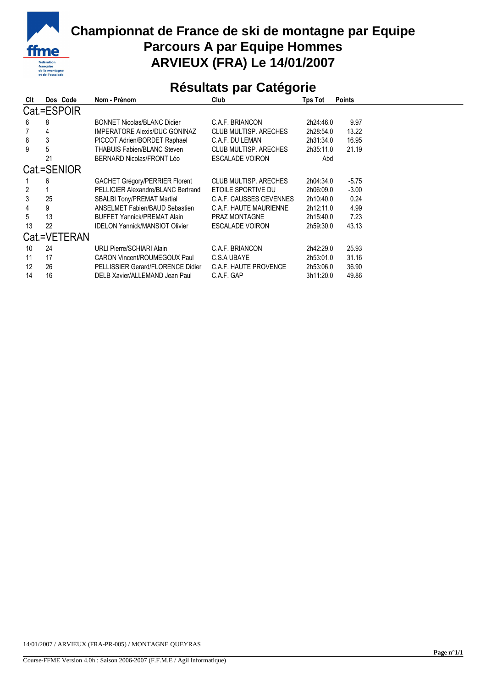

## **Championnat de France de ski de montagne par Equipe Parcours A par Equipe Hommes ARVIEUX (FRA) Le 14/01/2007**

## **Résultats par Catégorie**

| Clt          | Dos Code    | Nom - Prénom                          | Club                         | Tps Tot   | <b>Points</b> |  |  |  |  |  |
|--------------|-------------|---------------------------------------|------------------------------|-----------|---------------|--|--|--|--|--|
| Cat.=ESPOIR  |             |                                       |                              |           |               |  |  |  |  |  |
| 6            | 8           | <b>BONNET Nicolas/BLANC Didier</b>    | C.A.F. BRIANCON              | 2h24:46.0 | 9.97          |  |  |  |  |  |
|              | 4           | <b>IMPERATORE Alexis/DUC GONINAZ</b>  | <b>CLUB MULTISP, ARECHES</b> | 2h28:54.0 | 13.22         |  |  |  |  |  |
| 8            | 3           | PICCOT Adrien/BORDET Raphael          | C.A.F. DU LEMAN              | 2h31:34.0 | 16.95         |  |  |  |  |  |
| 9            | 5           | <b>THABUIS Fabien/BLANC Steven</b>    | <b>CLUB MULTISP, ARECHES</b> | 2h35:11.0 | 21.19         |  |  |  |  |  |
|              | 21          | BERNARD Nicolas/FRONT Léo             | <b>ESCALADE VOIRON</b>       | Abd       |               |  |  |  |  |  |
|              | Cat.=SENIOR |                                       |                              |           |               |  |  |  |  |  |
|              | 6           | GACHET Grégory/PERRIER Florent        | <b>CLUB MULTISP, ARECHES</b> | 2h04:34.0 | $-5.75$       |  |  |  |  |  |
| 2            |             | PELLICIER Alexandre/BLANC Bertrand    | ETOILE SPORTIVE DU           | 2h06:09.0 | $-3.00$       |  |  |  |  |  |
| 3            | 25          | SBALBI Tony/PREMAT Martial            | C.A.F. CAUSSES CEVENNES      | 2h10:40.0 | 0.24          |  |  |  |  |  |
| 4            | 9           | <b>ANSELMET Fabien/BAUD Sebastien</b> | C.A.F. HAUTE MAURIENNE       | 2h12:11.0 | 4.99          |  |  |  |  |  |
| 5            | 13          | <b>BUFFET Yannick/PREMAT Alain</b>    | <b>PRAZ MONTAGNE</b>         | 2h15:40.0 | 7.23          |  |  |  |  |  |
| 13           | 22          | <b>IDELON Yannick/MANSIOT Olivier</b> | <b>ESCALADE VOIRON</b>       | 2h59:30.0 | 43.13         |  |  |  |  |  |
| Cat.=VETERAN |             |                                       |                              |           |               |  |  |  |  |  |
| 10           | 24          | <b>URLI Pierre/SCHIARI Alain</b>      | C.A.F. BRIANCON              | 2h42:29.0 | 25.93         |  |  |  |  |  |
| 11           | 17          | <b>CARON Vincent/ROUMEGOUX Paul</b>   | C.S.A UBAYE                  | 2h53:01.0 | 31.16         |  |  |  |  |  |
| 12           | 26          | PELLISSIER Gerard/FLORENCE Didier     | C.A.F. HAUTE PROVENCE        | 2h53:06.0 | 36.90         |  |  |  |  |  |
| 14           | 16          | DELB Xavier/ALLEMAND Jean Paul        | C.A.F. GAP                   | 3h11:20.0 | 49.86         |  |  |  |  |  |